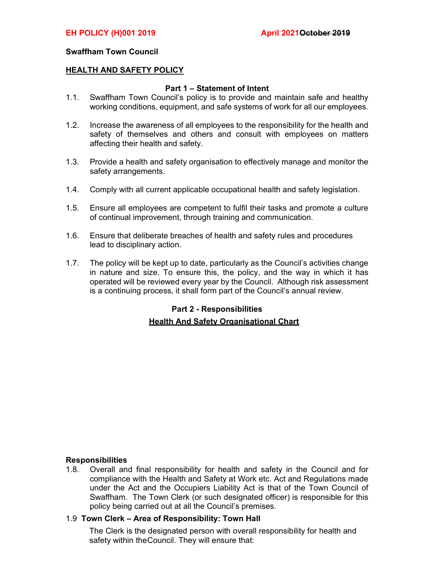### Swaffham Town Council

#### HEALTH AND SAFETY POLICY

### Part 1 – Statement of Intent

- 1.1. Swaffham Town Council's policy is to provide and maintain safe and healthy working conditions, equipment, and safe systems of work for all our employees.
- 1.2. Increase the awareness of all employees to the responsibility for the health and safety of themselves and others and consult with employees on matters affecting their health and safety.
- 1.3. Provide a health and safety organisation to effectively manage and monitor the safety arrangements.
- 1.4. Comply with all current applicable occupational health and safety legislation.
- 1.5. Ensure all employees are competent to fulfil their tasks and promote a culture of continual improvement, through training and communication.
- 1.6. Ensure that deliberate breaches of health and safety rules and procedures lead to disciplinary action.
- 1.7. The policy will be kept up to date, particularly as the Council's activities change in nature and size. To ensure this, the policy, and the way in which it has operated will be reviewed every year by the Council. Although risk assessment is a continuing process, it shall form part of the Council's annual review.

## Part 2 - Responsibilities **Health And Safety Organisational Chart**

### **Responsibilities**

1.8. Overall and final responsibility for health and safety in the Council and for compliance with the Health and Safety at Work etc. Act and Regulations made under the Act and the Occupiers Liability Act is that of the Town Council of Swaffham. The Town Clerk (or such designated officer) is responsible for this policy being carried out at all the Council's premises.

#### 1.9 Town Clerk – Area of Responsibility: Town Hall

The Clerk is the designated person with overall responsibility for health and safety within the Council. They will ensure that: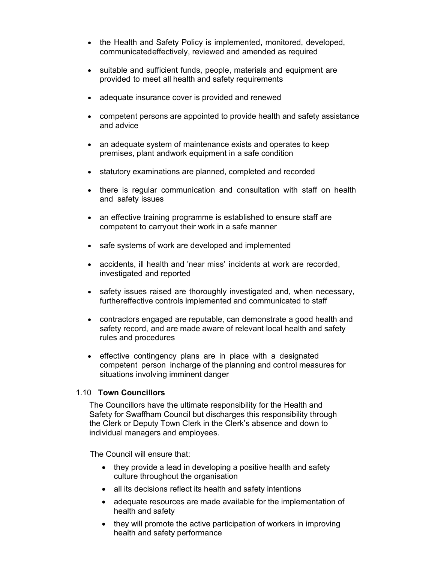- the Health and Safety Policy is implemented, monitored, developed, communicated effectively, reviewed and amended as required
- suitable and sufficient funds, people, materials and equipment are provided to meet all health and safety requirements
- adequate insurance cover is provided and renewed
- competent persons are appointed to provide health and safety assistance and advice
- an adequate system of maintenance exists and operates to keep premises, plant and work equipment in a safe condition
- statutory examinations are planned, completed and recorded
- there is regular communication and consultation with staff on health and safety issues
- an effective training programme is established to ensure staff are competent to carry out their work in a safe manner
- safe systems of work are developed and implemented
- accidents, ill health and 'near miss' incidents at work are recorded, investigated and reported
- safety issues raised are thoroughly investigated and, when necessary, further effective controls implemented and communicated to staff
- contractors engaged are reputable, can demonstrate a good health and safety record, and are made aware of relevant local health and safety rules and procedures
- effective contingency plans are in place with a designated competent person in charge of the planning and control measures for situations involving imminent danger

### 1.10 Town Councillors

The Councillors have the ultimate responsibility for the Health and Safety for Swaffham Council but discharges this responsibility through the Clerk or Deputy Town Clerk in the Clerk's absence and down to individual managers and employees.

The Council will ensure that:

- they provide a lead in developing a positive health and safety culture throughout the organisation
- all its decisions reflect its health and safety intentions
- adequate resources are made available for the implementation of health and safety
- they will promote the active participation of workers in improving health and safety performance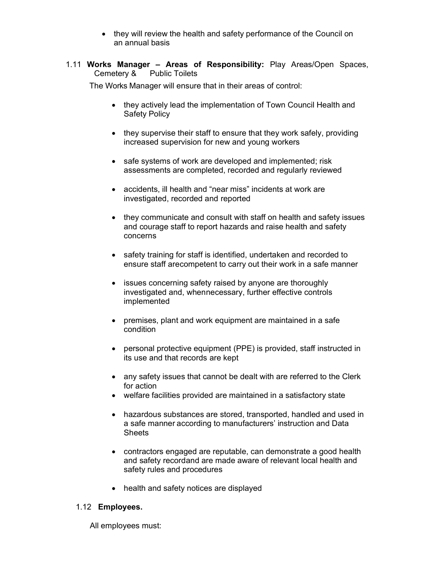- they will review the health and safety performance of the Council on an annual basis
- 1.11 Works Manager Areas of Responsibility: Play Areas/Open Spaces, Cemetery & Public Toilets

The Works Manager will ensure that in their areas of control:

- they actively lead the implementation of Town Council Health and Safety Policy
- they supervise their staff to ensure that they work safely, providing increased supervision for new and young workers
- safe systems of work are developed and implemented; risk assessments are completed, recorded and regularly reviewed
- accidents, ill health and "near miss" incidents at work are investigated, recorded and reported
- they communicate and consult with staff on health and safety issues and courage staff to report hazards and raise health and safety concerns
- safety training for staff is identified, undertaken and recorded to ensure staff are competent to carry out their work in a safe manner
- issues concerning safety raised by anyone are thoroughly investigated and, when necessary, further effective controls implemented
- premises, plant and work equipment are maintained in a safe condition
- personal protective equipment (PPE) is provided, staff instructed in its use and that records are kept
- any safety issues that cannot be dealt with are referred to the Clerk for action
- welfare facilities provided are maintained in a satisfactory state
- hazardous substances are stored, transported, handled and used in a safe manner according to manufacturers' instruction and Data **Sheets**
- contractors engaged are reputable, can demonstrate a good health and safety recordand are made aware of relevant local health and safety rules and procedures
- health and safety notices are displayed

### 1.12 Employees.

All employees must: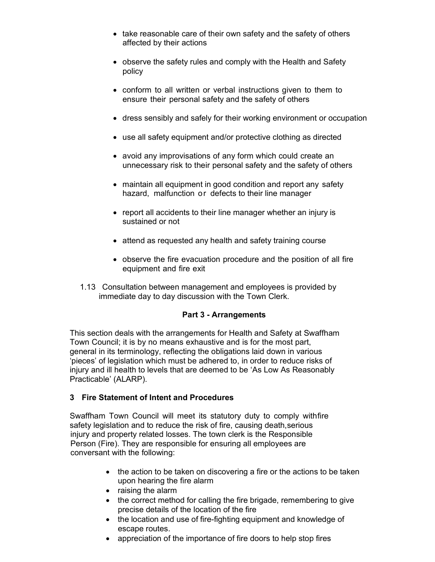- take reasonable care of their own safety and the safety of others affected by their actions
- observe the safety rules and comply with the Health and Safety policy
- conform to all written or verbal instructions given to them to ensure their personal safety and the safety of others
- dress sensibly and safely for their working environment or occupation
- use all safety equipment and/or protective clothing as directed
- avoid any improvisations of any form which could create an unnecessary risk to their personal safety and the safety of others
- maintain all equipment in good condition and report any safety hazard, malfunction or defects to their line manager
- report all accidents to their line manager whether an injury is sustained or not
- attend as requested any health and safety training course
- observe the fire evacuation procedure and the position of all fire equipment and fire exit
- 1.13 Consultation between management and employees is provided by immediate day to day discussion with the Town Clerk.

### Part 3 - Arrangements

This section deals with the arrangements for Health and Safety at Swaffham Town Council; it is by no means exhaustive and is for the most part, general in its terminology, reflecting the obligations laid down in various 'pieces' of legislation which must be adhered to, in order to reduce risks of injury and ill health to levels that are deemed to be 'As Low As Reasonably Practicable' (ALARP).

### 3 Fire Statement of Intent and Procedures

Swaffham Town Council will meet its statutory duty to comply with fire safety legislation and to reduce the risk of fire, causing death, serious injury and property related losses. The town clerk is the Responsible Person (Fire). They are responsible for ensuring all employees are conversant with the following:

- the action to be taken on discovering a fire or the actions to be taken upon hearing the fire alarm
- raising the alarm
- the correct method for calling the fire brigade, remembering to give precise details of the location of the fire
- the location and use of fire-fighting equipment and knowledge of escape routes.
- appreciation of the importance of fire doors to help stop fires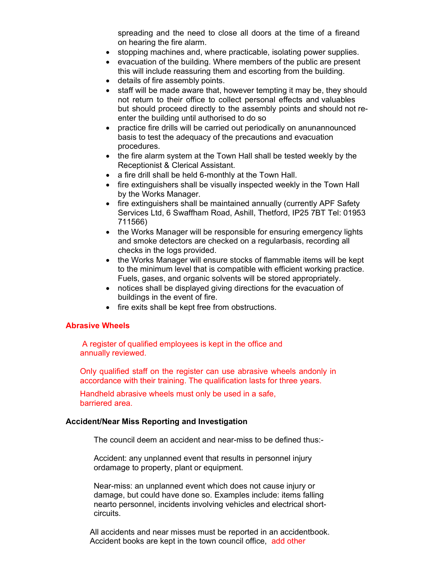spreading and the need to close all doors at the time of a fireand on hearing the fire alarm.

- stopping machines and, where practicable, isolating power supplies.
- evacuation of the building. Where members of the public are present this will include reassuring them and escorting from the building.
- details of fire assembly points.
- staff will be made aware that, however tempting it may be, they should not return to their office to collect personal effects and valuables but should proceed directly to the assembly points and should not reenter the building until authorised to do so
- practice fire drills will be carried out periodically on anunannounced basis to test the adequacy of the precautions and evacuation procedures.
- the fire alarm system at the Town Hall shall be tested weekly by the Receptionist & Clerical Assistant.
- a fire drill shall be held 6-monthly at the Town Hall.
- fire extinguishers shall be visually inspected weekly in the Town Hall by the Works Manager.
- fire extinguishers shall be maintained annually (currently APF Safety) Services Ltd, 6 Swaffham Road, Ashill, Thetford, IP25 7BT Tel: 01953 711566)
- the Works Manager will be responsible for ensuring emergency lights and smoke detectors are checked on a regularbasis, recording all checks in the logs provided.
- the Works Manager will ensure stocks of flammable items will be kept to the minimum level that is compatible with efficient working practice. Fuels, gases, and organic solvents will be stored appropriately.
- notices shall be displayed giving directions for the evacuation of buildings in the event of fire.
- fire exits shall be kept free from obstructions.

### Abrasive Wheels

 A register of qualified employees is kept in the office and annually reviewed.

Only qualified staff on the register can use abrasive wheels and only in accordance with their training. The qualification lasts for three years.

Handheld abrasive wheels must only be used in a safe, barriered area.

#### Accident/Near Miss Reporting and Investigation

The council deem an accident and near-miss to be defined thus:-

Accident: any unplanned event that results in personnel injury ordamage to property, plant or equipment.

Near-miss: an unplanned event which does not cause injury or damage, but could have done so. Examples include: items falling nearto personnel, incidents involving vehicles and electrical shortcircuits.

All accidents and near misses must be reported in an accidentbook. Accident books are kept in the town council office, add other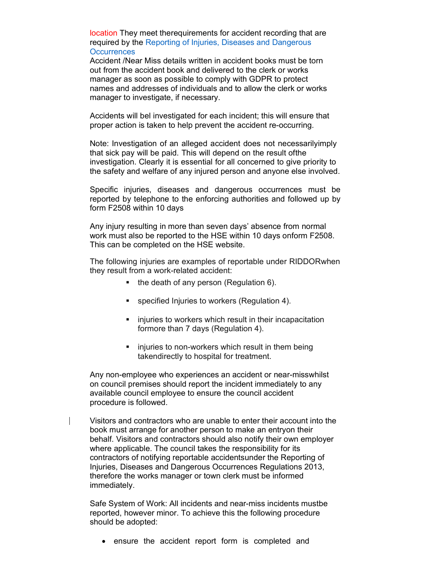location They meet the requirements for accident recording that are required by the Reporting of Injuries, Diseases and Dangerous **Occurrences** 

Accident /Near Miss details written in accident books must be torn out from the accident book and delivered to the clerk or works manager as soon as possible to comply with GDPR to protect names and addresses of individuals and to allow the clerk or works manager to investigate, if necessary.

Accidents will bel investigated for each incident; this will ensure that proper action is taken to help prevent the accident re-occurring.

Note: Investigation of an alleged accident does not necessarily imply that sick pay will be paid. This will depend on the result of the investigation. Clearly it is essential for all concerned to give priority to the safety and welfare of any injured person and anyone else involved.

Specific injuries, diseases and dangerous occurrences must be reported by telephone to the enforcing authorities and followed up by form F2508 within 10 days

Any injury resulting in more than seven days' absence from normal work must also be reported to the HSE within 10 days onform F2508. This can be completed on the HSE website.

The following injuries are examples of reportable under RIDDOR when they result from a work-related accident:

- $\blacksquare$  the death of any person (Regulation 6).
- **specified Injuries to workers (Regulation 4).**
- **EXTERGHT INCO IS 100 IN THE INCO IS 100 INCO IS 100 INCO IS 100 INCO IS 100 INCO IS 100 INCO IS 100 INCO IS 100 INCO IS 100 INCO IS 100 IS 100 IS 100 IS 100 IS 100 IS 100 IS 100 IS 100 IS 100 IS 100 IS 100 IS 100 IS 100 I** formore than 7 days (Regulation 4).
- injuries to non-workers which result in them being taken directly to hospital for treatment.

Any non-employee who experiences an accident or near-miss whilst on council premises should report the incident immediately to any available council employee to ensure the council accident procedure is followed.

Visitors and contractors who are unable to enter their account into the book must arrange for another person to make an entryon their behalf. Visitors and contractors should also notify their own employer where applicable. The council takes the responsibility for its contractors of notifying reportable accident sunder the Reporting of Injuries, Diseases and Dangerous Occurrences Regulations 2013, therefore the works manager or town clerk must be informed immediately.

Safe System of Work: All incidents and near-miss incidents mustbe reported, however minor. To achieve this the following procedure should be adopted:

ensure the accident report form is completed and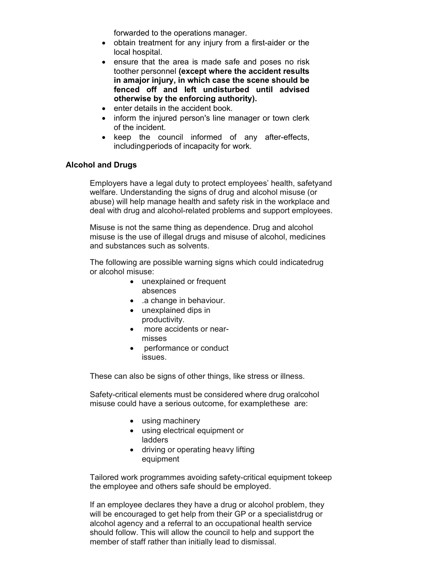forwarded to the operations manager.

- obtain treatment for any injury from a first-aider or the local hospital.
- ensure that the area is made safe and poses no risk toother personnel (except where the accident results in amajor injury, in which case the scene should be fenced off and left undisturbed until advised otherwise by the enforcing authority).
- enter details in the accident book.
- inform the injured person's line manager or town clerk of the incident.
- keep the council informed of any after-effects, including periods of incapacity for work.

### Alcohol and Drugs

Employers have a legal duty to protect employees' health, safety and welfare. Understanding the signs of drug and alcohol misuse (or abuse) will help manage health and safety risk in the workplace and deal with drug and alcohol-related problems and support employees.

Misuse is not the same thing as dependence. Drug and alcohol misuse is the use of illegal drugs and misuse of alcohol, medicines and substances such as solvents.

The following are possible warning signs which could indicatedrug or alcohol misuse:

- unexplained or frequent absences
- a change in behaviour.
- unexplained dips in productivity.
- more accidents or nearmisses
- performance or conduct issues.

These can also be signs of other things, like stress or illness.

Safety-critical elements must be considered where drug oralcohol misuse could have a serious outcome, for examplethese are:

- using machinery
- using electrical equipment or ladders
- driving or operating heavy lifting equipment

Tailored work programmes avoiding safety-critical equipment tokeep the employee and others safe should be employed.

If an employee declares they have a drug or alcohol problem, they will be encouraged to get help from their GP or a specialistdrug or alcohol agency and a referral to an occupational health service should follow. This will allow the council to help and support the member of staff rather than initially lead to dismissal.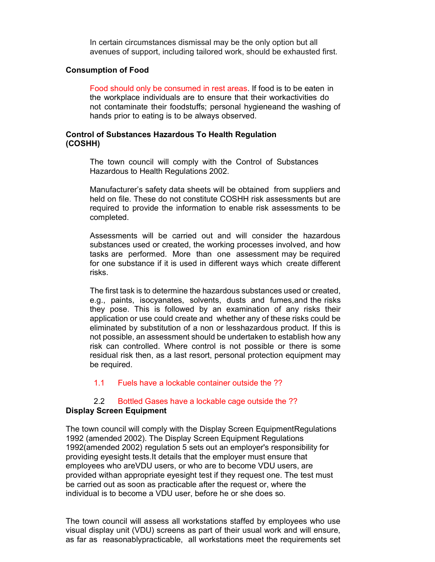In certain circumstances dismissal may be the only option but all avenues of support, including tailored work, should be exhausted first.

#### Consumption of Food

Food should only be consumed in rest areas. If food is to be eaten in the workplace individuals are to ensure that their work activities do not contaminate their foodstuffs; personal hygiene and the washing of hands prior to eating is to be always observed.

### Control of Substances Hazardous To Health Regulation (COSHH)

The town council will comply with the Control of Substances Hazardous to Health Regulations 2002.

Manufacturer's safety data sheets will be obtained from suppliers and held on file. These do not constitute COSHH risk assessments but are required to provide the information to enable risk assessments to be completed.

Assessments will be carried out and will consider the hazardous substances used or created, the working processes involved, and how tasks are performed. More than one assessment may be required for one substance if it is used in different ways which create different risks.

The first task is to determine the hazardous substances used or created, e.g., paints, isocyanates, solvents, dusts and fumes, and the risks they pose. This is followed by an examination of any risks their application or use could create and whether any of these risks could be eliminated by substitution of a non or lesshazardous product. If this is not possible, an assessment should be undertaken to establish how any risk can controlled. Where control is not possible or there is some residual risk then, as a last resort, personal protection equipment may be required.

#### 1.1 Fuels have a lockable container outside the ??

# 2.2 Bottled Gases have a lockable cage outside the ??

### Display Screen Equipment

The town council will comply with the Display Screen Equipment Regulations 1992 (amended 2002). The Display Screen Equipment Regulations 1992(amended 2002) regulation 5 sets out an employer's responsibility for providing eyesight tests. It details that the employer must ensure that employees who are VDU users, or who are to become VDU users, are provided with an appropriate eyesight test if they request one. The test must be carried out as soon as practicable after the request or, where the individual is to become a VDU user, before he or she does so.

The town council will assess all workstations staffed by employees who use visual display unit (VDU) screens as part of their usual work and will ensure, as far as reasonably practicable, all workstations meet the requirements set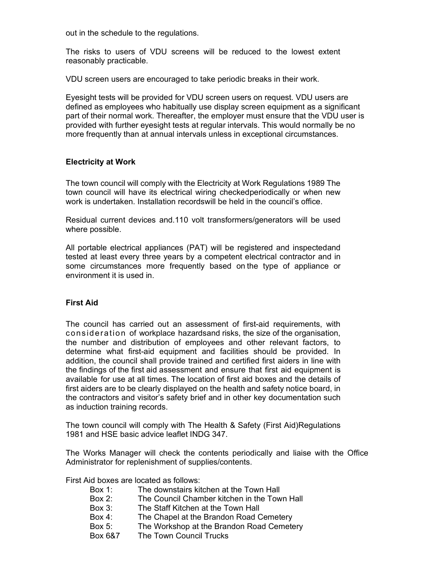out in the schedule to the regulations.

The risks to users of VDU screens will be reduced to the lowest extent reasonably practicable.

VDU screen users are encouraged to take periodic breaks in their work.

Eyesight tests will be provided for VDU screen users on request. VDU users are defined as employees who habitually use display screen equipment as a significant part of their normal work. Thereafter, the employer must ensure that the VDU user is provided with further eyesight tests at regular intervals. This would normally be no more frequently than at annual intervals unless in exceptional circumstances.

### Electricity at Work

The town council will comply with the Electricity at Work Regulations 1989 The town council will have its electrical wiring checked periodically or when new work is undertaken. Installation records will be held in the council's office.

Residual current devices and.110 volt transformers/generators will be used where possible.

All portable electrical appliances (PAT) will be registered and inspected and tested at least every three years by a competent electrical contractor and in some circumstances more frequently based on the type of appliance or environment it is used in.

### First Aid

The council has carried out an assessment of first-aid requirements, with consideration of workplace hazards and risks, the size of the organisation, the number and distribution of employees and other relevant factors, to determine what first-aid equipment and facilities should be provided. In addition, the council shall provide trained and certified first aiders in line with the findings of the first aid assessment and ensure that first aid equipment is available for use at all times. The location of first aid boxes and the details of first aiders are to be clearly displayed on the health and safety notice board, in the contractors and visitor's safety brief and in other key documentation such as induction training records.

The town council will comply with The Health & Safety (First Aid) Regulations 1981 and HSE basic advice leaflet INDG 347.

The Works Manager will check the contents periodically and liaise with the Office Administrator for replenishment of supplies/contents.

First Aid boxes are located as follows:

- Box 1: The downstairs kitchen at the Town Hall
- Box 2: The Council Chamber kitchen in the Town Hall
- Box 3: The Staff Kitchen at the Town Hall
- Box 4: The Chapel at the Brandon Road Cemetery
- Box 5: The Workshop at the Brandon Road Cemetery<br>Box 6&7 The Town Council Trucks
- The Town Council Trucks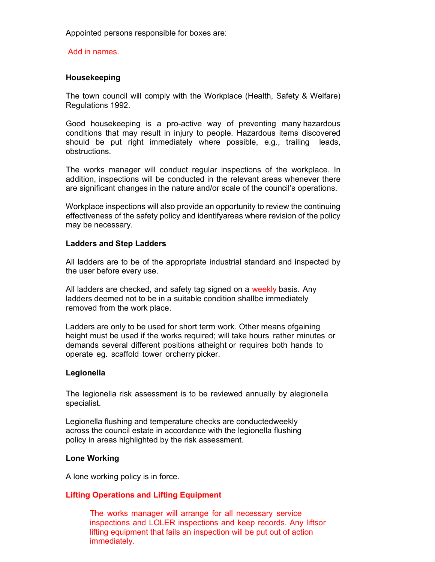Appointed persons responsible for boxes are:

Add in names.

### Housekeeping

The town council will comply with the Workplace (Health, Safety & Welfare) Regulations 1992.

Good housekeeping is a pro-active way of preventing many hazardous conditions that may result in injury to people. Hazardous items discovered should be put right immediately where possible, e.g., trailing leads, obstructions.

The works manager will conduct regular inspections of the workplace. In addition, inspections will be conducted in the relevant areas whenever there are significant changes in the nature and/or scale of the council's operations.

Workplace inspections will also provide an opportunity to review the continuing effectiveness of the safety policy and identify areas where revision of the policy may be necessary.

### Ladders and Step Ladders

All ladders are to be of the appropriate industrial standard and inspected by the user before every use.

All ladders are checked, and safety tag signed on a weekly basis. Any ladders deemed not to be in a suitable condition shallbe immediately removed from the work place.

Ladders are only to be used for short term work. Other means of gaining height must be used if the works required; will take hours rather minutes or demands several different positions atheight or requires both hands to operate eg. scaffold tower or cherry picker.

### Legionella

The legionella risk assessment is to be reviewed annually by alegionella specialist.

Legionella flushing and temperature checks are conducted weekly across the council estate in accordance with the legionella flushing policy in areas highlighted by the risk assessment.

#### Lone Working

A lone working policy is in force.

### Lifting Operations and Lifting Equipment

The works manager will arrange for all necessary service inspections and LOLER inspections and keep records. Any liftsor lifting equipment that fails an inspection will be put out of action immediately.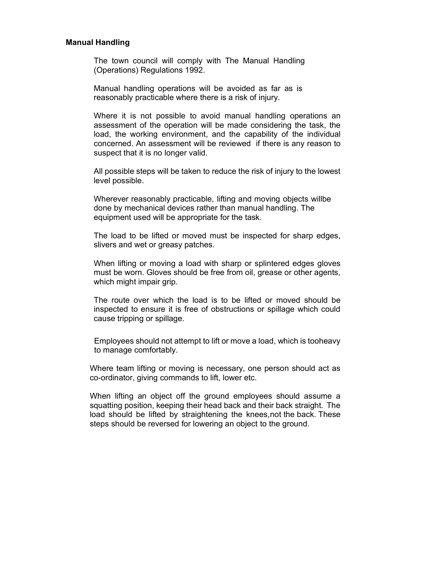#### Manual Handling

The town council will comply with The Manual Handling (Operations) Regulations 1992.

Manual handling operations will be avoided as far as is reasonably practicable where there is a risk of injury.

Where it is not possible to avoid manual handling operations an assessment of the operation will be made considering the task, the load, the working environment, and the capability of the individual concerned. An assessment will be reviewed if there is any reason to suspect that it is no longer valid.

All possible steps will be taken to reduce the risk of injury to the lowest level possible.

Wherever reasonably practicable, lifting and moving objects willbe done by mechanical devices rather than manual handling. The equipment used will be appropriate for the task.

The load to be lifted or moved must be inspected for sharp edges, slivers and wet or greasy patches.

When lifting or moving a load with sharp or splintered edges gloves must be worn. Gloves should be free from oil, grease or other agents, which might impair grip.

The route over which the load is to be lifted or moved should be inspected to ensure it is free of obstructions or spillage which could cause tripping or spillage.

Employees should not attempt to lift or move a load, which is tooheavy to manage comfortably.

Where team lifting or moving is necessary, one person should act as co-ordinator, giving commands to lift, lower etc.

When lifting an object off the ground employees should assume a squatting position, keeping their head back and their back straight. The load should be lifted by straightening the knees, not the back. These steps should be reversed for lowering an object to the ground.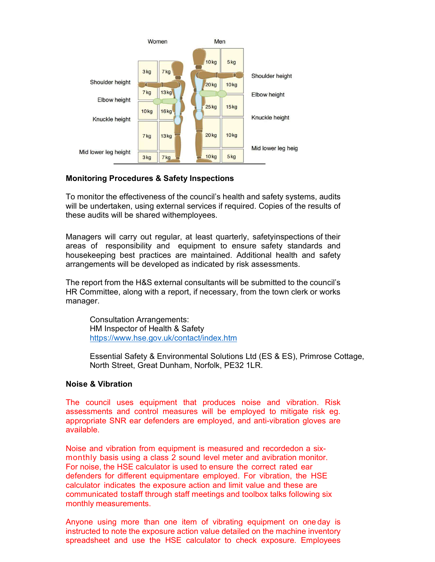

### Monitoring Procedures & Safety Inspections

To monitor the effectiveness of the council's health and safety systems, audits will be undertaken, using external services if required. Copies of the results of these audits will be shared with employees.

Managers will carry out regular, at least quarterly, safety inspections of their areas of responsibility and equipment to ensure safety standards and housekeeping best practices are maintained. Additional health and safety arrangements will be developed as indicated by risk assessments.

The report from the H&S external consultants will be submitted to the council's HR Committee, along with a report, if necessary, from the town clerk or works manager.

Consultation Arrangements: HM Inspector of Health & Safety https://www.hse.gov.uk/contact/index.htm

Essential Safety & Environmental Solutions Ltd (ES & ES), Primrose Cottage, North Street, Great Dunham, Norfolk, PE32 1LR.

### Noise & Vibration

The council uses equipment that produces noise and vibration. Risk assessments and control measures will be employed to mitigate risk eg. appropriate SNR ear defenders are employed, and anti-vibration gloves are available.

Noise and vibration from equipment is measured and recorded on a sixmonthly basis using a class 2 sound level meter and a vibration monitor. For noise, the HSE calculator is used to ensure the correct rated ear defenders for different equipmentare employed. For vibration, the HSE calculator indicates the exposure action and limit value and these are communicated to staff through staff meetings and toolbox talks following six monthly measurements.

Anyone using more than one item of vibrating equipment on one day is instructed to note the exposure action value detailed on the machine inventory spreadsheet and use the HSE calculator to check exposure. Employees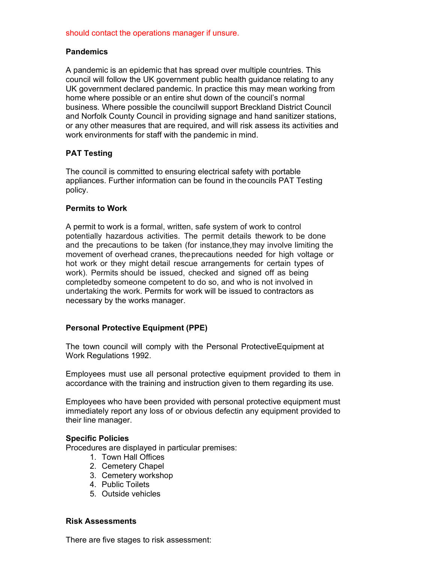### should contact the operations manager if unsure.

### **Pandemics**

A pandemic is an epidemic that has spread over multiple countries. This council will follow the UK government public health guidance relating to any UK government declared pandemic. In practice this may mean working from home where possible or an entire shut down of the council's normal business. Where possible the council will support Breckland District Council and Norfolk County Council in providing signage and hand sanitizer stations, or any other measures that are required, and will risk assess its activities and work environments for staff with the pandemic in mind.

### PAT Testing

The council is committed to ensuring electrical safety with portable appliances. Further information can be found in the councils PAT Testing policy.

### Permits to Work

A permit to work is a formal, written, safe system of work to control potentially hazardous activities. The permit details the work to be done and the precautions to be taken (for instance, they may involve limiting the movement of overhead cranes, the precautions needed for high voltage or hot work or they might detail rescue arrangements for certain types of work). Permits should be issued, checked and signed off as being completed by some one competent to do so, and who is not involved in undertaking the work. Permits for work will be issued to contractors as necessary by the works manager.

### Personal Protective Equipment (PPE)

The town council will comply with the Personal Protective Equipment at Work Regulations 1992.

Employees must use all personal protective equipment provided to them in accordance with the training and instruction given to them regarding its use.

Employees who have been provided with personal protective equipment must immediately report any loss of or obvious defectin any equipment provided to their line manager.

#### Specific Policies

Procedures are displayed in particular premises:

- 1. Town Hall Offices
- 2. Cemetery Chapel
- 3. Cemetery workshop
- 4. Public Toilets
- 5. Outside vehicles

#### Risk Assessments

There are five stages to risk assessment: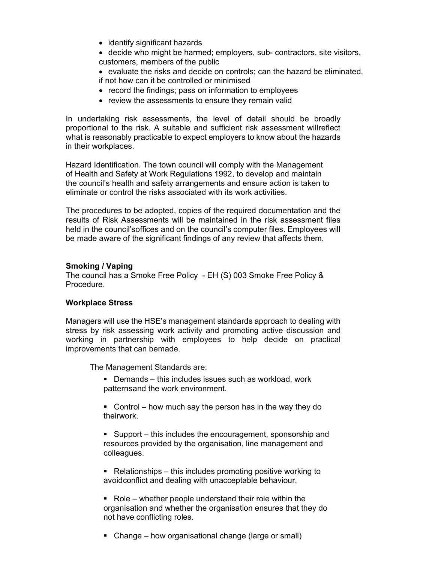- identify significant hazards
- decide who might be harmed; employers, sub- contractors, site visitors, customers, members of the public

 $\bullet$  evaluate the risks and decide on controls; can the hazard be eliminated, if not how can it be controlled or minimised

- record the findings; pass on information to employees
- review the assessments to ensure they remain valid

In undertaking risk assessments, the level of detail should be broadly proportional to the risk. A suitable and sufficient risk assessment will reflect what is reasonably practicable to expect employers to know about the hazards in their workplaces.

Hazard Identification. The town council will comply with the Management of Health and Safety at Work Regulations 1992, to develop and maintain the council's health and safety arrangements and ensure action is taken to eliminate or control the risks associated with its work activities.

The procedures to be adopted, copies of the required documentation and the results of Risk Assessments will be maintained in the risk assessment files held in the council's offices and on the council's computer files. Employees will be made aware of the significant findings of any review that affects them.

### Smoking / Vaping

The council has a Smoke Free Policy - EH (S) 003 Smoke Free Policy & Procedure.

### Workplace Stress

Managers will use the HSE's management standards approach to dealing with stress by risk assessing work activity and promoting active discussion and working in partnership with employees to help decide on practical improvements that can bemade.

The Management Standards are:

- Demands this includes issues such as workload, work patternsand the work environment.
- Control how much say the person has in the way they do their work.
- Support this includes the encouragement, sponsorship and resources provided by the organisation, line management and colleagues.
- Relationships this includes promoting positive working to avoid conflict and dealing with unacceptable behaviour.
- Role whether people understand their role within the organisation and whether the organisation ensures that they do not have conflicting roles.
- Change how organisational change (large or small)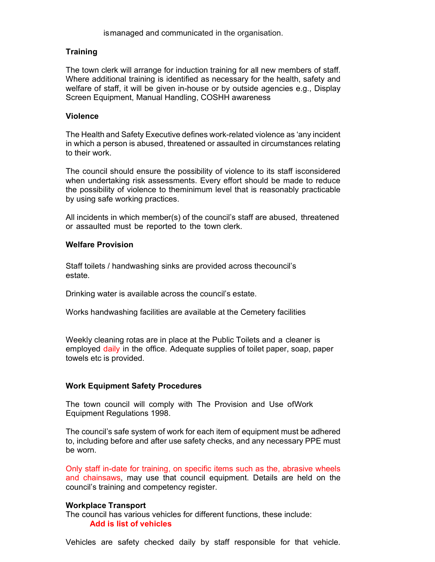is managed and communicated in the organisation.

### **Training**

The town clerk will arrange for induction training for all new members of staff. Where additional training is identified as necessary for the health, safety and welfare of staff, it will be given in-house or by outside agencies e.g., Display Screen Equipment, Manual Handling, COSHH awareness

### Violence

The Health and Safety Executive defines work-related violence as 'any incident in which a person is abused, threatened or assaulted in circumstances relating to their work.

The council should ensure the possibility of violence to its staff is considered when undertaking risk assessments. Every effort should be made to reduce the possibility of violence to the minimum level that is reasonably practicable by using safe working practices.

All incidents in which member(s) of the council's staff are abused, threatened or assaulted must be reported to the town clerk.

### Welfare Provision

Staff toilets / handwashing sinks are provided across the council's estate.

Drinking water is available across the council's estate.

Works handwashing facilities are available at the Cemetery facilities

Weekly cleaning rotas are in place at the Public Toilets and a cleaner is employed daily in the office. Adequate supplies of toilet paper, soap, paper towels etc is provided.

### Work Equipment Safety Procedures

The town council will comply with The Provision and Use of Work Equipment Regulations 1998.

The council's safe system of work for each item of equipment must be adhered to, including before and after use safety checks, and any necessary PPE must be worn.

Only staff in-date for training, on specific items such as the, abrasive wheels and chainsaws, may use that council equipment. Details are held on the council's training and competency register.

### Workplace Transport

The council has various vehicles for different functions, these include: Add is list of vehicles

Vehicles are safety checked daily by staff responsible for that vehicle.